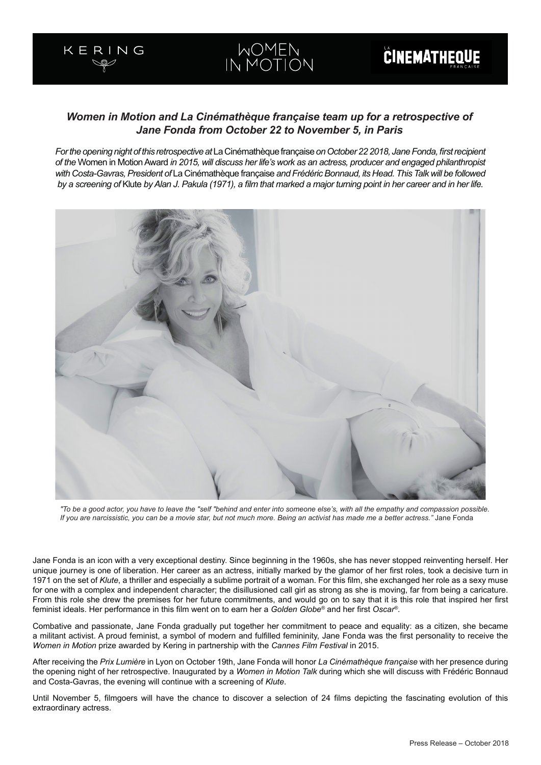# *Women in Motion and La Cinémathèque française team up for a retrospective of Jane Fonda from October 22 to November 5, in Paris*

*For the opening night of this retrospective at* La Cinémathèque française *on October 22 2018, Jane Fonda, first recipient of the* Women in Motion Award *in 2015, will discuss her life's work as an actress, producer and engaged philanthropist with Costa-Gavras, President of* La Cinémathèque française *and Frédéric Bonnaud, its Head. This Talk will be followed by a screening of* Klute *by Alan J. Pakula (1971), a film that marked a major turning point in her career and in her life.*



*"To be a good actor, you have to leave the "self "behind and enter into someone else's, with all the empathy and compassion possible. If you are narcissistic, you can be a movie star, but not much more. Being an activist has made me a better actress."* Jane Fonda

Jane Fonda is an icon with a very exceptional destiny. Since beginning in the 1960s, she has never stopped reinventing herself. Her unique journey is one of liberation. Her career as an actress, initially marked by the glamor of her first roles, took a decisive turn in 1971 on the set of *Klute*, a thriller and especially a sublime portrait of a woman. For this film, she exchanged her role as a sexy muse for one with a complex and independent character; the disillusioned call girl as strong as she is moving, far from being a caricature. From this role she drew the premises for her future commitments, and would go on to say that it is this role that inspired her first feminist ideals. Her performance in this film went on to earn her a *Golden Globe®* and her first *Oscar®*.

Combative and passionate, Jane Fonda gradually put together her commitment to peace and equality: as a citizen, she became a militant activist. A proud feminist, a symbol of modern and fulfilled femininity, Jane Fonda was the first personality to receive the *Women in Motion* prize awarded by Kering in partnership with the *Cannes Film Festival* in 2015.

After receiving the *Prix Lumière* in Lyon on October 19th, Jane Fonda will honor *La Cinémathèque française* with her presence during the opening night of her retrospective. Inaugurated by a *Women in Motion Talk* during which she will discuss with Frédéric Bonnaud and Costa-Gavras, the evening will continue with a screening of *Klute*.

Until November 5, filmgoers will have the chance to discover a selection of 24 films depicting the fascinating evolution of this extraordinary actress.